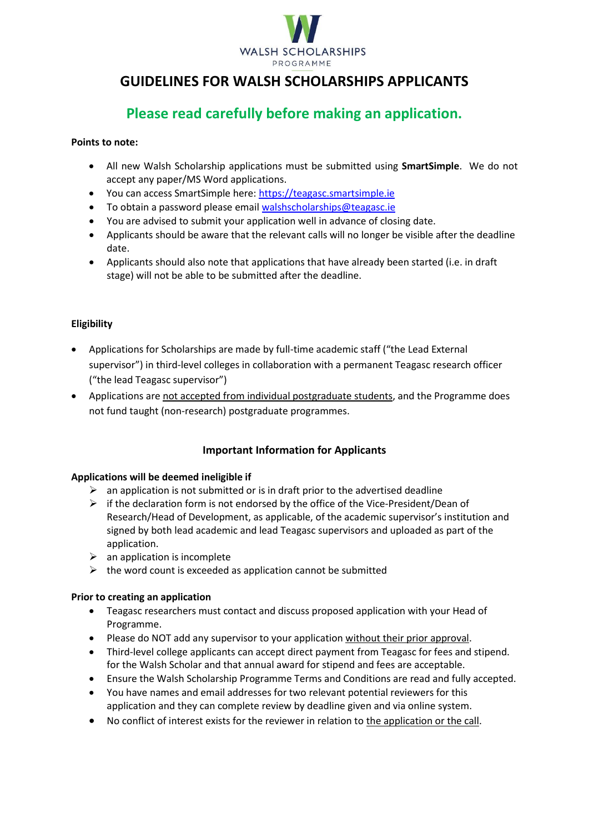

# **GUIDELINES FOR WALSH SCHOLARSHIPS APPLICANTS**

# **Please read carefully before making an application.**

#### **Points to note:**

- All new Walsh Scholarship applications must be submitted using **SmartSimple**. We do not accept any paper/MS Word applications.
- You can access SmartSimple here[: https://teagasc.smartsimple.ie](https://teagasc.smartsimple.ie/)
- To obtain a password please emai[l walshscholarships@teagasc.ie](mailto:walshfellowships@teagasc.ie)
- You are advised to submit your application well in advance of closing date.
- Applicants should be aware that the relevant calls will no longer be visible after the deadline date.
- Applicants should also note that applications that have already been started (i.e. in draft stage) will not be able to be submitted after the deadline.

# **Eligibility**

- Applications for Scholarships are made by full-time academic staff ("the Lead External supervisor") in third-level colleges in collaboration with a permanent Teagasc research officer ("the lead Teagasc supervisor")
- Applications are not accepted from individual postgraduate students, and the Programme does not fund taught (non-research) postgraduate programmes.

# **Important Information for Applicants**

# **Applications will be deemed ineligible if**

- $\triangleright$  an application is not submitted or is in draft prior to the advertised deadline
- $\triangleright$  if the declaration form is not endorsed by the office of the Vice-President/Dean of Research/Head of Development, as applicable, of the academic supervisor's institution and signed by both lead academic and lead Teagasc supervisors and uploaded as part of the application.
- $\triangleright$  an application is incomplete
- $\triangleright$  the word count is exceeded as application cannot be submitted

# **Prior to creating an application**

- Teagasc researchers must contact and discuss proposed application with your Head of Programme.
- Please do NOT add any supervisor to your application without their prior approval.
- Third-level college applicants can accept direct payment from Teagasc for fees and stipend. for the Walsh Scholar and that annual award for stipend and fees are acceptable.
- Ensure the Walsh Scholarship Programme Terms and Conditions are read and fully accepted.
- You have names and email addresses for two relevant potential reviewers for this application and they can complete review by deadline given and via online system.
- No conflict of interest exists for the reviewer in relation to the application or the call.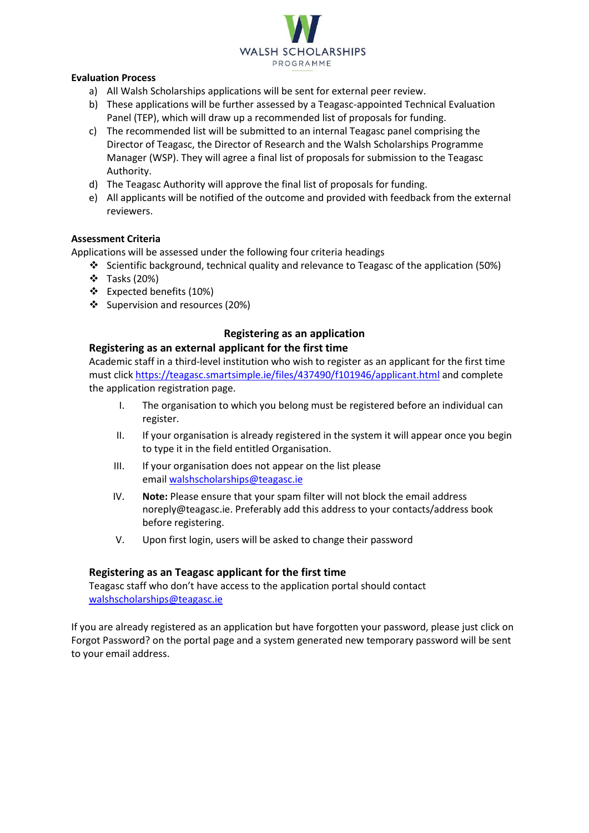

#### **Evaluation Process**

- a) All Walsh Scholarships applications will be sent for external peer review.
- b) These applications will be further assessed by a Teagasc-appointed Technical Evaluation Panel (TEP), which will draw up a recommended list of proposals for funding.
- c) The recommended list will be submitted to an internal Teagasc panel comprising the Director of Teagasc, the Director of Research and the Walsh Scholarships Programme Manager (WSP). They will agree a final list of proposals for submission to the Teagasc Authority.
- d) The Teagasc Authority will approve the final list of proposals for funding.
- e) All applicants will be notified of the outcome and provided with feedback from the external reviewers.

#### **Assessment Criteria**

Applications will be assessed under the following four criteria headings

- Scientific background, technical quality and relevance to Teagasc of the application (50%)
- Tasks (20%)
- Expected benefits (10%)
- Supervision and resources (20%)

# **Registering as an application**

#### **Registering as an external applicant for the first time**

Academic staff in a third-level institution who wish to register as an applicant for the first time must click<https://teagasc.smartsimple.ie/files/437490/f101946/applicant.html> and complete the application registration page.

- I. The organisation to which you belong must be registered before an individual can register.
- II. If your organisation is already registered in the system it will appear once you begin to type it in the field entitled Organisation.
- III. If your organisation does not appear on the list please email [walshscholarships@teagasc.ie](mailto:walshfellowships@teagasc.ie)
- IV. **Note:** Please ensure that your spam filter will not block the email address noreply@teagasc.ie. Preferably add this address to your contacts/address book before registering.
- V. Upon first login, users will be asked to change their password

# **Registering as an Teagasc applicant for the first time**

Teagasc staff who don't have access to the application portal should contact [walshscholarships@teagasc.ie](mailto:walshfellowships@teagasc.ie)

If you are already registered as an application but have forgotten your password, please just click on Forgot Password? on the portal page and a system generated new temporary password will be sent to your email address.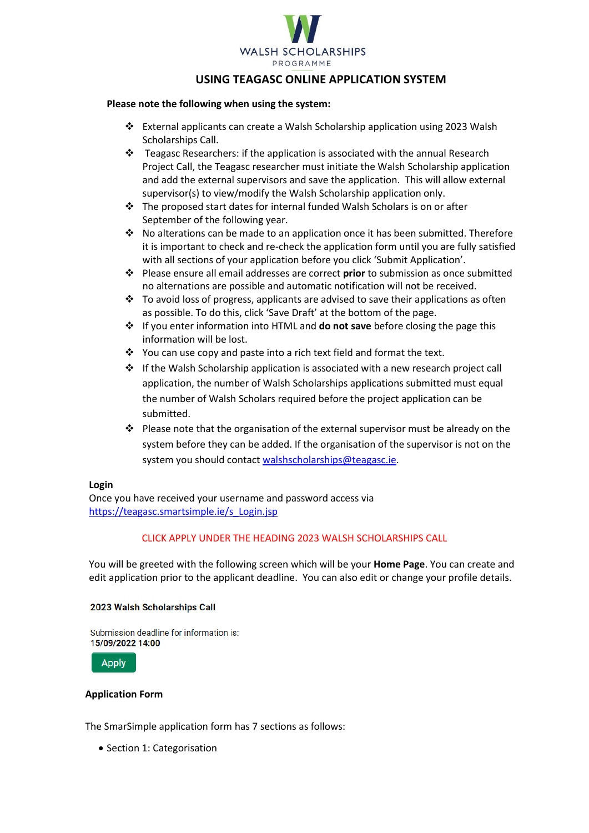

# **USING TEAGASC ONLINE APPLICATION SYSTEM**

#### **Please note the following when using the system:**

- External applicants can create a Walsh Scholarship application using 2023 Walsh Scholarships Call.
- Teagasc Researchers: if the application is associated with the annual Research Project Call, the Teagasc researcher must initiate the Walsh Scholarship application and add the external supervisors and save the application. This will allow external supervisor(s) to view/modify the Walsh Scholarship application only.
- The proposed start dates for internal funded Walsh Scholars is on or after September of the following year.
- $\cdot \cdot$  No alterations can be made to an application once it has been submitted. Therefore it is important to check and re-check the application form until you are fully satisfied with all sections of your application before you click 'Submit Application'.
- Please ensure all email addresses are correct **prior** to submission as once submitted no alternations are possible and automatic notification will not be received.
- $\cdot \cdot$  To avoid loss of progress, applicants are advised to save their applications as often as possible. To do this, click 'Save Draft' at the bottom of the page.
- If you enter information into HTML and **do not save** before closing the page this information will be lost.
- \* You can use copy and paste into a rich text field and format the text.
- $\div$  If the Walsh Scholarship application is associated with a new research project call application, the number of Walsh Scholarships applications submitted must equal the number of Walsh Scholars required before the project application can be submitted.
- $\div$  Please note that the organisation of the external supervisor must be already on the system before they can be added. If the organisation of the supervisor is not on the system you should contac[t walshscholarships@teagasc.ie.](mailto:walshfellowships@teagasc.ie)

#### **Login**

Once you have received your username and password access via [https://teagasc.smartsimple.ie/s\\_Login.jsp](https://teagasc.smartsimple.ie/s_Login.jsp)

#### CLICK APPLY UNDER THE HEADING 2023 WALSH SCHOLARSHIPS CALL

You will be greeted with the following screen which will be your **Home Page**. You can create and edit application prior to the applicant deadline. You can also edit or change your profile details.

#### 2023 Walsh Scholarships Call

Submission deadline for information is: 15/09/2022 14:00

**Apply** 

#### **Application Form**

The SmarSimple application form has 7 sections as follows:

• Section 1: Categorisation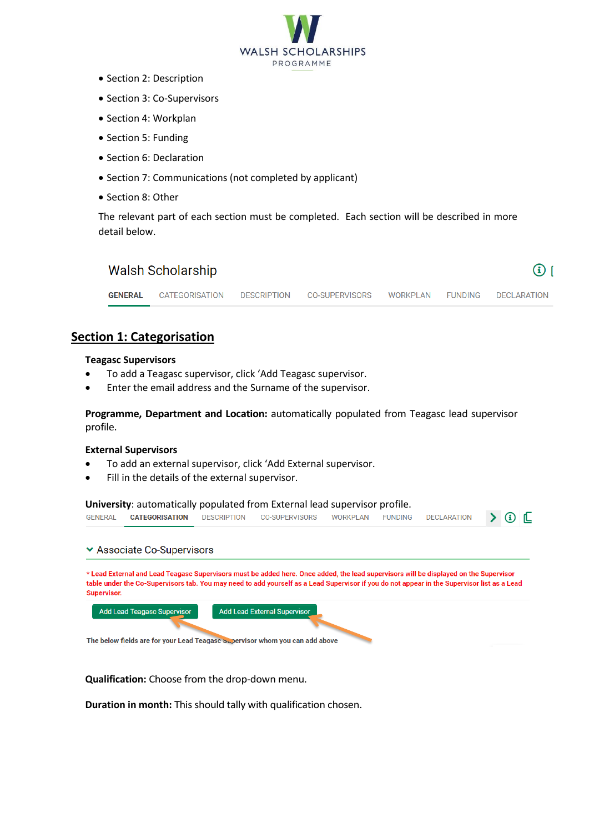

- Section 2: Description
- Section 3: Co-Supervisors
- Section 4: Workplan
- Section 5: Funding
- Section 6: Declaration
- Section 7: Communications (not completed by applicant)
- Section 8: Other

The relevant part of each section must be completed. Each section will be described in more detail below.

|                | Walsh Scholarship |             |                |          |         | (i)                |
|----------------|-------------------|-------------|----------------|----------|---------|--------------------|
| <b>GENERAL</b> | CATEGORISATION    | DESCRIPTION | CO-SUPERVISORS | WORKPLAN | FUNDING | <b>DECLARATION</b> |
|                |                   |             |                |          |         |                    |

# **Section 1: Categorisation**

#### **Teagasc Supervisors**

- To add a Teagasc supervisor, click 'Add Teagasc supervisor.
- Enter the email address and the Surname of the supervisor.

**Programme, Department and Location:** automatically populated from Teagasc lead supervisor profile.

#### **External Supervisors**

- To add an external supervisor, click 'Add External supervisor.
- Fill in the details of the external supervisor.

**University**: automatically populated from External lead supervisor profile. **GENERAL CATEGORISATION** DESCRIPTION CO-SUPERVISORS **WORKPLAN FUNDING DECLARATION**  $\sum$  (i)  $\Gamma$ ▼ Associate Co-Supervisors \* Lead External and Lead Teagasc Supervisors must be added here. Once added, the lead supervisors will be displayed on the Supervisor table under the Co-Supervisors tab. You may need to add yourself as a Lead Supervisor if you do not appear in the Supervisor list as a Lead **Supervisor** Add Lead Teagasc Supervisor Add Lead External Supervisor The below fields are for your Lead Teagasc Supervisor whom you can add above

**Qualification:** Choose from the drop-down menu.

**Duration in month:** This should tally with qualification chosen.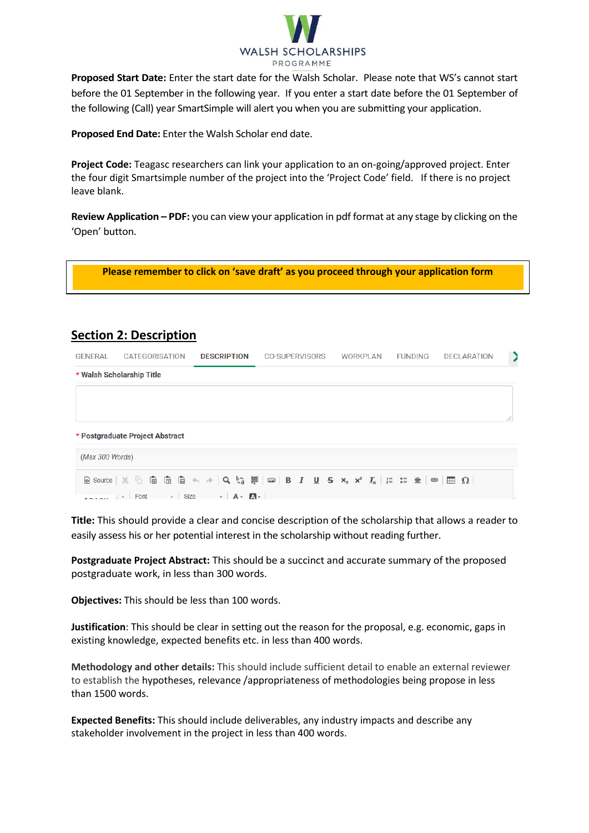

**Proposed Start Date:** Enter the start date for the Walsh Scholar. Please note that WS's cannot start before the 01 September in the following year. If you enter a start date before the 01 September of the following (Call) year SmartSimple will alert you when you are submitting your application.

**Proposed End Date:** Enter the Walsh Scholar end date.

**Project Code:** Teagasc researchers can link your application to an on-going/approved project. Enter the four digit Smartsimple number of the project into the 'Project Code' field. If there is no project leave blank.

**Review Application – PDF:** you can view your application in pdf format at any stage by clicking on the 'Open' button.

**Please remember to click on 'save draft' as you proceed through your application form**

# **Section 2: Description**

| <b>GENERAL</b>  | <b>CATEGORISATION</b>                                            | <b>DESCRIPTION</b> | <b>CO-SUPERVISORS</b> | WORKPLAN | <b>FUNDING</b> | <b>DECLARATION</b> | $\rightarrow$ |
|-----------------|------------------------------------------------------------------|--------------------|-----------------------|----------|----------------|--------------------|---------------|
|                 | * Walsh Scholarship Title                                        |                    |                       |          |                |                    |               |
|                 |                                                                  |                    |                       |          |                |                    |               |
|                 | * Postgraduate Project Abstract                                  |                    |                       |          |                |                    |               |
| (Max 300 Words) |                                                                  |                    |                       |          |                |                    |               |
|                 |                                                                  |                    |                       |          |                |                    |               |
|                 | $\bullet$ DAQ $\prime$ Font $\bullet$ Size $\bullet$ A $\bullet$ |                    |                       |          |                |                    |               |

**Title:** This should provide a clear and concise description of the scholarship that allows a reader to easily assess his or her potential interest in the scholarship without reading further.

**Postgraduate Project Abstract:** This should be a succinct and accurate summary of the proposed postgraduate work, in less than 300 words.

**Objectives:** This should be less than 100 words.

**Justification**: This should be clear in setting out the reason for the proposal, e.g. economic, gaps in existing knowledge, expected benefits etc. in less than 400 words.

**Methodology and other details:** This should include sufficient detail to enable an external reviewer to establish the hypotheses, relevance /appropriateness of methodologies being propose in less than 1500 words.

**Expected Benefits:** This should include deliverables, any industry impacts and describe any stakeholder involvement in the project in less than 400 words.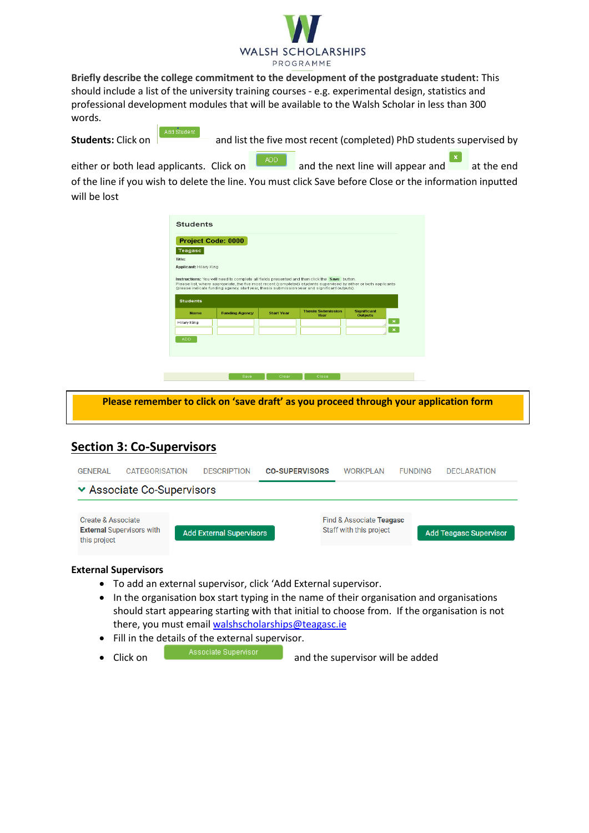

**Briefly describe the college commitment to the development of the postgraduate student:** This should include a list of the university training courses - e.g. experimental design, statistics and professional development modules that will be available to the Walsh Scholar in less than 300 words.

Add Student

**Students:** Click on **and list the five most recent (completed)** PhD students supervised by

either or both lead applicants. Click on and the next line will appear and at the end of the line if you wish to delete the line. You must click Save before Close or the information inputted will be lost

| Project Code: 0000                                                                                                                             |                       |                   |                                                                                               |                                      |                |
|------------------------------------------------------------------------------------------------------------------------------------------------|-----------------------|-------------------|-----------------------------------------------------------------------------------------------|--------------------------------------|----------------|
| Teagasc<br>Title:                                                                                                                              |                       |                   |                                                                                               |                                      |                |
| <b>Applicant: Hilary King</b>                                                                                                                  |                       |                   |                                                                                               |                                      |                |
|                                                                                                                                                |                       |                   | (please indicate funding agency, start year, thesis submission year and significant outputs). |                                      |                |
| <b>Students</b>                                                                                                                                |                       |                   |                                                                                               |                                      |                |
| <b>Name</b>                                                                                                                                    | <b>Funding Agency</b> | <b>Start Year</b> | <b>Thesis Submission</b><br>Year                                                              | <b>Significant</b><br><b>Outputs</b> |                |
|                                                                                                                                                |                       |                   |                                                                                               |                                      | $\pmb{\times}$ |
|                                                                                                                                                |                       |                   |                                                                                               |                                      | $\mathbf{x}$   |
| Please list, where appropriate, the five most recent (completed) students supervised by either or both applicants<br>Hilary King<br><b>ADD</b> |                       |                   |                                                                                               |                                      |                |
|                                                                                                                                                |                       |                   |                                                                                               |                                      |                |

**Please remember to click on 'save draft' as you proceed through your application form**

# **Section 3: Co-Supervisors**

| <b>GENERAL</b>                     | <b>CATEGORISATION</b>            | <b>DESCRIPTION</b>              | <b>CO-SUPERVISORS</b> | <b>WORKPLAN</b>                                     | <b>FUNDING</b> | <b>DECLARATION</b>            |
|------------------------------------|----------------------------------|---------------------------------|-----------------------|-----------------------------------------------------|----------------|-------------------------------|
|                                    | ▼ Associate Co-Supervisors       |                                 |                       |                                                     |                |                               |
| Create & Associate<br>this project | <b>External Supervisors with</b> | <b>Add External Supervisors</b> |                       | Find & Associate Teagasc<br>Staff with this project |                | <b>Add Teagasc Supervisor</b> |

#### **External Supervisors**

- To add an external supervisor, click 'Add External supervisor.
- In the organisation box start typing in the name of their organisation and organisations should start appearing starting with that initial to choose from. If the organisation is not there, you must email [walshscholarships@teagasc.ie](mailto:walshfellowships@teagasc.ie)
- Fill in the details of the external supervisor.
- Click on **Associate Supervisor** and the supervisor will be added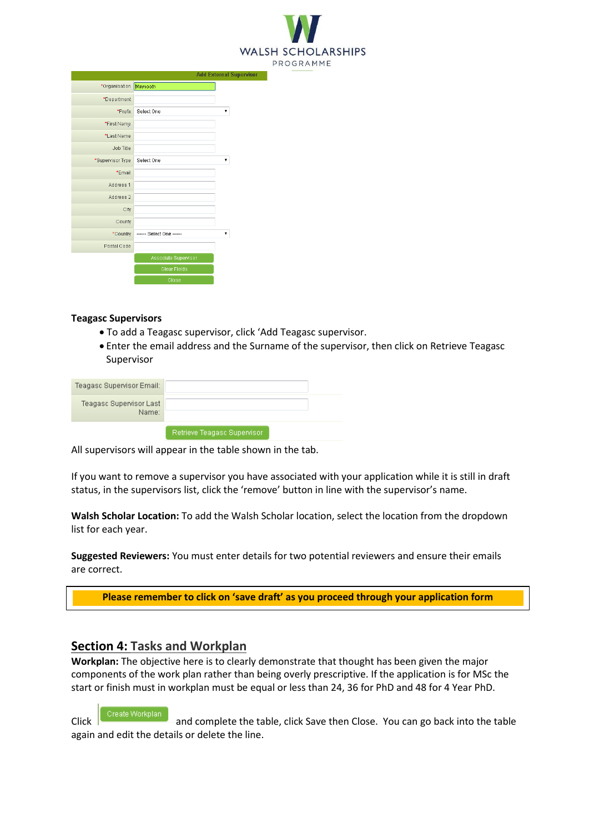

|                      | Add External Sup         |  |
|----------------------|--------------------------|--|
| *Organisation        | Maynooth                 |  |
| *Department          |                          |  |
| *Prefix              | Select One               |  |
| *First Name          |                          |  |
| *Last Name           |                          |  |
| Job Title            |                          |  |
| *Supervisor Type     | Select One               |  |
| *Email               |                          |  |
| Address 1            |                          |  |
| Address <sub>2</sub> |                          |  |
| City                 |                          |  |
| County               |                          |  |
| *Country             | ------ Select One ------ |  |
| Postal Code          |                          |  |
|                      | Associate Supervisor     |  |
|                      | Clear Fields             |  |
|                      | Close                    |  |

#### **Teagasc Supervisors**

- To add a Teagasc supervisor, click 'Add Teagasc supervisor.
- Enter the email address and the Surname of the supervisor, then click on Retrieve Teagasc Supervisor

| Teagasc Supervisor Email:        |                             |  |
|----------------------------------|-----------------------------|--|
| Teagasc Supervisor Last<br>Name: |                             |  |
|                                  | Retrieve Teadasc Supervisor |  |

All supervisors will appear in the table shown in the tab.

If you want to remove a supervisor you have associated with your application while it is still in draft status, in the supervisors list, click the 'remove' button in line with the supervisor's name.

**Walsh Scholar Location:** To add the Walsh Scholar location, select the location from the dropdown list for each year.

**Suggested Reviewers:** You must enter details for two potential reviewers and ensure their emails are correct.

**Please remember to click on 'save draft' as you proceed through your application form**

# **Section 4: Tasks and Workplan**

**Workplan:** The objective here is to clearly demonstrate that thought has been given the major components of the work plan rather than being overly prescriptive. If the application is for MSc the start or finish must in workplan must be equal or less than 24, 36 for PhD and 48 for 4 Year PhD.

Click **Click** Create Workplan and complete the table, click Save then Close. You can go back into the table again and edit the details or delete the line.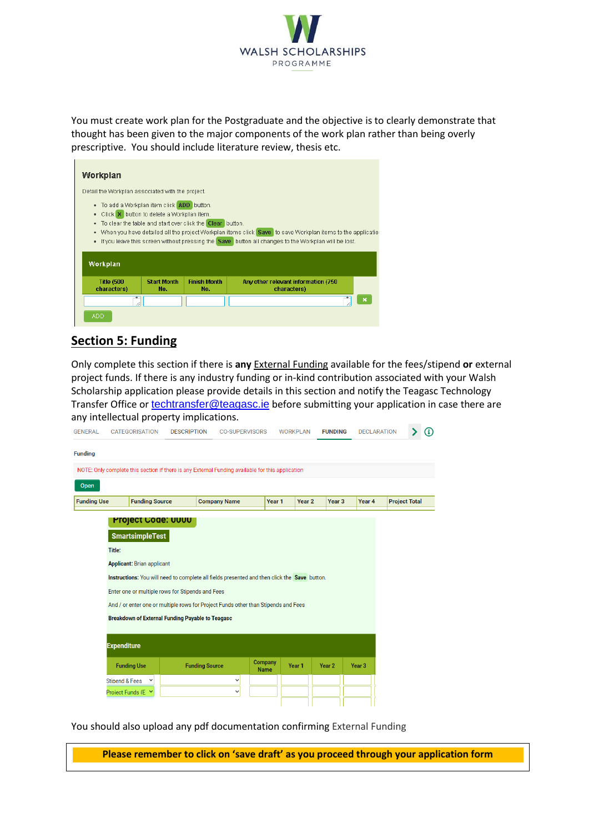

You must create work plan for the Postgraduate and the objective is to clearly demonstrate that thought has been given to the major components of the work plan rather than being overly prescriptive. You should include literature review, thesis etc.

| Workplan                                                                                                                                                                    |                           |                            |                                                                                                                                                                                                                              |  |
|-----------------------------------------------------------------------------------------------------------------------------------------------------------------------------|---------------------------|----------------------------|------------------------------------------------------------------------------------------------------------------------------------------------------------------------------------------------------------------------------|--|
| Detail the Workplan associated with the project.                                                                                                                            |                           |                            |                                                                                                                                                                                                                              |  |
| . To add a Workplan item click <b>ADD</b> button.<br>• Click X button to delete a Workplan item.<br>. To clear the table and start over click the Clear button.<br>Workplan |                           |                            | . When you have detailed all the project Workplan items click Save to save Workplan items to the application<br>• If you leave this screen without pressing the <b>Save</b> button all changes to the Workplan will be lost. |  |
| <b>Title (500)</b><br>characters)                                                                                                                                           | <b>Start Month</b><br>No. | <b>Finish Month</b><br>No. | Any other relevant information (750)<br>characters)                                                                                                                                                                          |  |
| ٠                                                                                                                                                                           |                           |                            |                                                                                                                                                                                                                              |  |
| <b>ADD</b>                                                                                                                                                                  |                           |                            |                                                                                                                                                                                                                              |  |

# **Section 5: Funding**

Only complete this section if there is **any** External Funding available for the fees/stipend **or** external project funds. If there is any industry funding or in-kind contribution associated with your Walsh Scholarship application please provide details in this section and notify the Teagasc Technology Transfer Office or [techtransfer@teagasc.ie](mailto:techtransfer@teagasc.ie) before submitting your application in case there are any intellectual property implications.

| <b>GENERAL</b>     | <b>CATEGORISATION</b>                                                                            | <b>DESCRIPTION</b> | <b>CO-SUPERVISORS</b> |                               | <b>WORKPLAN</b> |                   | <b>FUNDING</b>    | <b>DECLARATION</b> |                      | Ð |
|--------------------|--------------------------------------------------------------------------------------------------|--------------------|-----------------------|-------------------------------|-----------------|-------------------|-------------------|--------------------|----------------------|---|
| <b>Funding</b>     |                                                                                                  |                    |                       |                               |                 |                   |                   |                    |                      |   |
|                    | NOTE: Only complete this section if there is any External Funding available for this application |                    |                       |                               |                 |                   |                   |                    |                      |   |
| Open               |                                                                                                  |                    |                       |                               |                 |                   |                   |                    |                      |   |
| <b>Funding Use</b> | <b>Funding Source</b>                                                                            |                    | <b>Company Name</b>   | Year <sub>1</sub>             |                 | Year <sub>2</sub> | Year <sub>3</sub> | Year 4             | <b>Project Total</b> |   |
|                    | <b>Project Code: UUUU</b>                                                                        |                    |                       |                               |                 |                   |                   |                    |                      |   |
|                    | <b>SmartsimpleTest</b>                                                                           |                    |                       |                               |                 |                   |                   |                    |                      |   |
|                    | Title:                                                                                           |                    |                       |                               |                 |                   |                   |                    |                      |   |
|                    | <b>Applicant: Brian applicant</b>                                                                |                    |                       |                               |                 |                   |                   |                    |                      |   |
|                    | Instructions: You will need to complete all fields presented and then click the Save button.     |                    |                       |                               |                 |                   |                   |                    |                      |   |
|                    | Enter one or multiple rows for Stipends and Fees                                                 |                    |                       |                               |                 |                   |                   |                    |                      |   |
|                    | And / or enter one or multiple rows for Project Funds other than Stipends and Fees               |                    |                       |                               |                 |                   |                   |                    |                      |   |
|                    | Breakdown of External Funding Payable to Teagasc                                                 |                    |                       |                               |                 |                   |                   |                    |                      |   |
|                    | <b>Expenditure</b>                                                                               |                    |                       |                               |                 |                   |                   |                    |                      |   |
|                    | <b>Funding Use</b>                                                                               |                    | <b>Funding Source</b> | <b>Company</b><br><b>Name</b> | Year 1          |                   | Year <sub>2</sub> | Year <sub>3</sub>  |                      |   |
|                    | <b>Stipend &amp; Fees</b><br>$\checkmark$                                                        |                    | $\checkmark$          |                               |                 |                   |                   |                    |                      |   |
|                    | Proiect Funds (E Y                                                                               |                    | $\checkmark$          |                               |                 |                   |                   |                    |                      |   |

You should also upload any pdf documentation confirming External Funding

**Please remember to click on 'save draft' as you proceed through your application form**